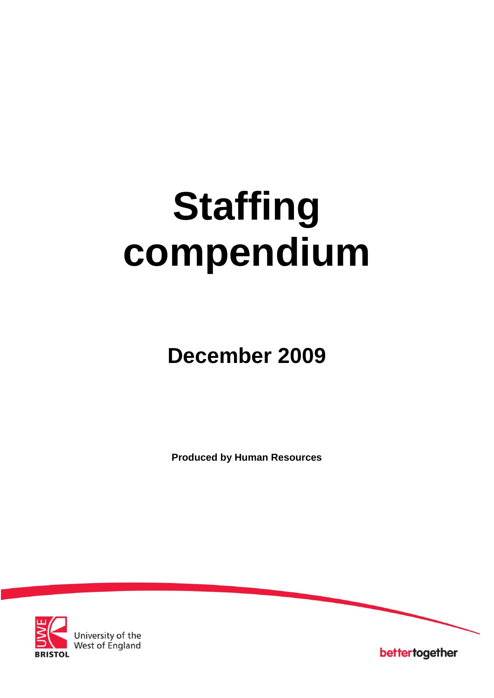# **Staffing compendium**

## **December 2009**

**Produced by Human Resources**



University of the<br>West of England

bettertogether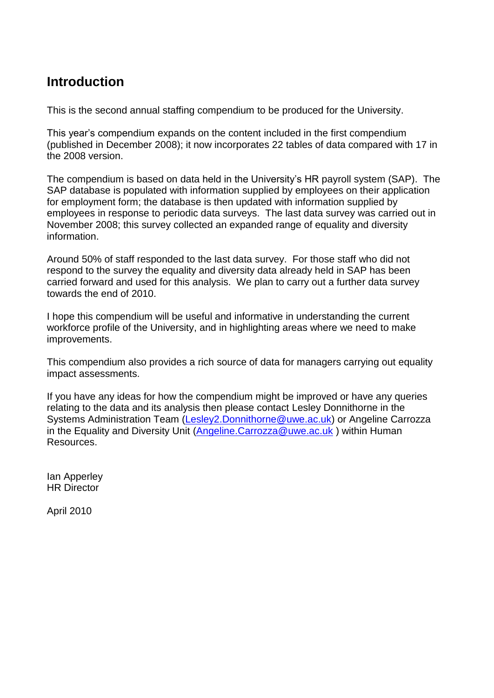#### **Introduction**

This is the second annual staffing compendium to be produced for the University.

This year's compendium expands on the content included in the first compendium (published in December 2008); it now incorporates 22 tables of data compared with 17 in the 2008 version.

The compendium is based on data held in the University's HR payroll system (SAP). The SAP database is populated with information supplied by employees on their application for employment form; the database is then updated with information supplied by employees in response to periodic data surveys. The last data survey was carried out in November 2008; this survey collected an expanded range of equality and diversity information.

Around 50% of staff responded to the last data survey. For those staff who did not respond to the survey the equality and diversity data already held in SAP has been carried forward and used for this analysis. We plan to carry out a further data survey towards the end of 2010.

I hope this compendium will be useful and informative in understanding the current workforce profile of the University, and in highlighting areas where we need to make improvements.

This compendium also provides a rich source of data for managers carrying out equality impact assessments.

If you have any ideas for how the compendium might be improved or have any queries relating to the data and its analysis then please contact Lesley Donnithorne in the Systems Administration Team [\(Lesley2.Donnithorne@uwe.ac.uk\)](mailto:Lesley2.Donnithorne@uwe.ac.uk) or Angeline Carrozza in the Equality and Diversity Unit [\(Angeline.Carrozza@uwe.ac.uk](mailto:Angeline.Carrozza@uwe.ac.uk) ) within Human Resources.

Ian Apperley HR Director

April 2010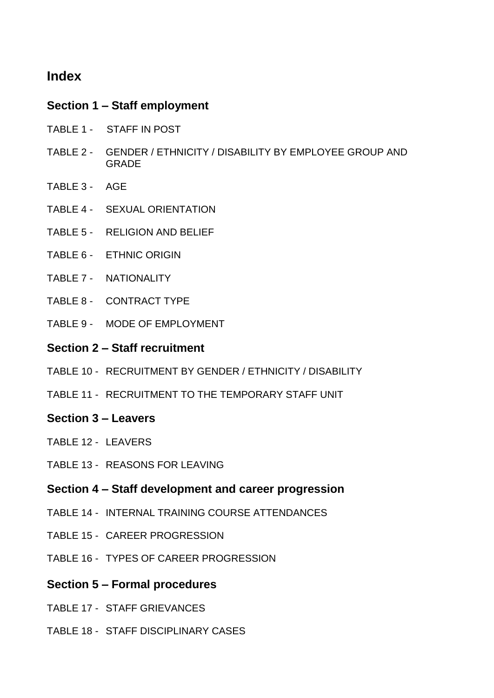#### **Index**

#### **Section 1 – Staff employment**

- TABLE 1 STAFF IN POST
- TABLE 2 GENDER / ETHNICITY / DISABILITY BY EMPLOYEE GROUP AND GRADE
- TABLE 3 AGE
- TABLE 4 SEXUAL ORIENTATION
- TABLE 5 RELIGION AND BELIEF
- TABLE 6 ETHNIC ORIGIN
- TABLE 7 NATIONALITY
- TABLE 8 CONTRACT TYPE
- TABLE 9 MODE OF EMPLOYMENT

#### **Section 2 – Staff recruitment**

- TABLE 10 RECRUITMENT BY GENDER / ETHNICITY / DISABILITY
- TABLE 11 RECRUITMENT TO THE TEMPORARY STAFF UNIT

#### **Section 3 – Leavers**

- TABLE 12 LEAVERS
- TABLE 13 REASONS FOR LEAVING

#### **Section 4 – Staff development and career progression**

- TABLE 14 INTERNAL TRAINING COURSE ATTENDANCES
- TABLE 15 CAREER PROGRESSION
- TABLE 16 TYPES OF CAREER PROGRESSION
- **Section 5 – Formal procedures**
- TABLE 17 STAFF GRIEVANCES
- TABLE 18 STAFF DISCIPLINARY CASES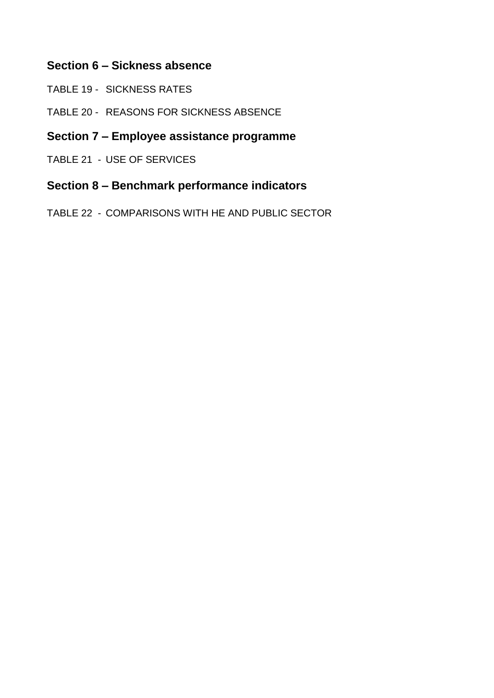#### **Section 6 – Sickness absence**

- TABLE 19 SICKNESS RATES
- TABLE 20 REASONS FOR SICKNESS ABSENCE

#### **Section 7 – Employee assistance programme**

TABLE 21 - USE OF SERVICES

#### **Section 8 – Benchmark performance indicators**

TABLE 22 - COMPARISONS WITH HE AND PUBLIC SECTOR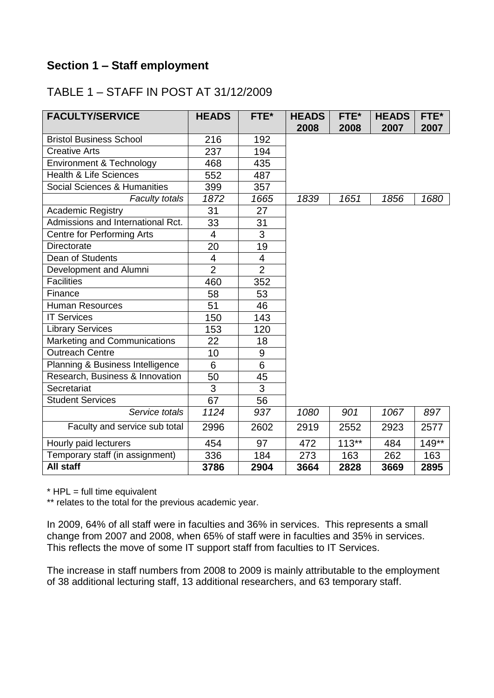#### **Section 1 – Staff employment**

#### TABLE 1 – STAFF IN POST AT 31/12/2009

| <b>FACULTY/SERVICE</b>            | <b>HEADS</b>            | FTE*             | <b>HEADS</b><br>2008 | FTE*<br>2008 | <b>HEADS</b><br>2007 | FTE*<br>2007 |
|-----------------------------------|-------------------------|------------------|----------------------|--------------|----------------------|--------------|
| <b>Bristol Business School</b>    | 216                     | 192              |                      |              |                      |              |
| <b>Creative Arts</b>              | 237                     | 194              |                      |              |                      |              |
| Environment & Technology          | 468                     | 435              |                      |              |                      |              |
| <b>Health &amp; Life Sciences</b> | 552                     | 487              |                      |              |                      |              |
| Social Sciences & Humanities      | 399                     | 357              |                      |              |                      |              |
| Faculty totals                    | 1872                    | 1665             | 1839                 | 1651         | 1856                 | 1680         |
| <b>Academic Registry</b>          | 31                      | 27               |                      |              |                      |              |
| Admissions and International Rct. | 33                      | 31               |                      |              |                      |              |
| <b>Centre for Performing Arts</b> | 4                       | 3                |                      |              |                      |              |
| <b>Directorate</b>                | 20                      | 19               |                      |              |                      |              |
| Dean of Students                  | $\overline{\mathbf{4}}$ | 4                |                      |              |                      |              |
| Development and Alumni            | $\overline{2}$          | $\overline{2}$   |                      |              |                      |              |
| <b>Facilities</b>                 | 460                     | 352              |                      |              |                      |              |
| Finance                           | 58                      | 53               |                      |              |                      |              |
| <b>Human Resources</b>            | 51                      | 46               |                      |              |                      |              |
| <b>IT Services</b>                | 150                     | 143              |                      |              |                      |              |
| <b>Library Services</b>           | 153                     | 120              |                      |              |                      |              |
| Marketing and Communications      | 22                      | 18               |                      |              |                      |              |
| <b>Outreach Centre</b>            | 10                      | $\boldsymbol{9}$ |                      |              |                      |              |
| Planning & Business Intelligence  | 6                       | 6                |                      |              |                      |              |
| Research, Business & Innovation   | 50                      | 45               |                      |              |                      |              |
| Secretariat                       | 3                       | 3                |                      |              |                      |              |
| <b>Student Services</b>           | 67                      | 56               |                      |              |                      |              |
| Service totals                    | 1124                    | 937              | 1080                 | 901          | 1067                 | 897          |
| Faculty and service sub total     | 2996                    | 2602             | 2919                 | 2552         | 2923                 | 2577         |
| Hourly paid lecturers             | 454                     | 97               | 472                  | $113**$      | 484                  | $149**$      |
| Temporary staff (in assignment)   | 336                     | 184              | 273                  | 163          | 262                  | 163          |
| <b>All staff</b>                  | 3786                    | 2904             | 3664                 | 2828         | 3669                 | 2895         |

 $*$  HPL = full time equivalent

\*\* relates to the total for the previous academic year.

In 2009, 64% of all staff were in faculties and 36% in services. This represents a small change from 2007 and 2008, when 65% of staff were in faculties and 35% in services. This reflects the move of some IT support staff from faculties to IT Services.

The increase in staff numbers from 2008 to 2009 is mainly attributable to the employment of 38 additional lecturing staff, 13 additional researchers, and 63 temporary staff.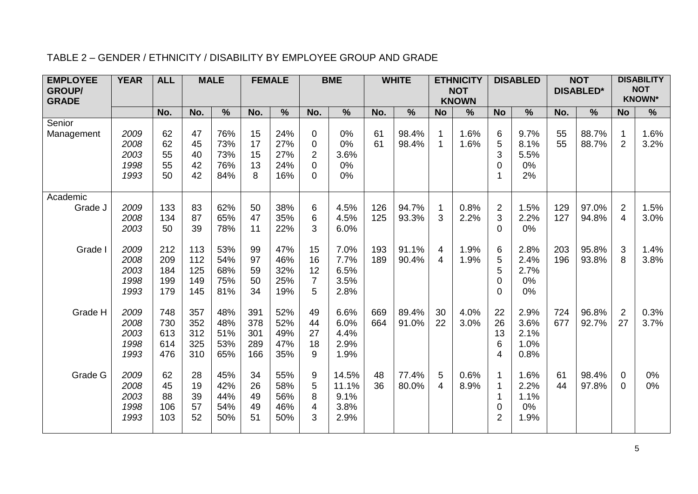#### TABLE 2 – GENDER / ETHNICITY / DISABILITY BY EMPLOYEE GROUP AND GRADE

| <b>EMPLOYEE</b> | <b>YEAR</b>                          | <b>ALL</b>                      |                                 | <b>MALE</b>                     |                                 | <b>FEMALE</b>                   |                                                                               | <b>BME</b>                             |            | <b>WHITE</b>   |                            | <b>ETHNICITY</b>           |                                        | <b>DISABLED</b>                      |            | <b>NOT</b>       |                                  | <b>DISABILITY</b>           |
|-----------------|--------------------------------------|---------------------------------|---------------------------------|---------------------------------|---------------------------------|---------------------------------|-------------------------------------------------------------------------------|----------------------------------------|------------|----------------|----------------------------|----------------------------|----------------------------------------|--------------------------------------|------------|------------------|----------------------------------|-----------------------------|
| <b>GROUP/</b>   |                                      |                                 |                                 |                                 |                                 |                                 |                                                                               |                                        |            |                |                            | <b>NOT</b><br><b>KNOWN</b> |                                        |                                      |            | <b>DISABLED*</b> |                                  | <b>NOT</b><br><b>KNOWN*</b> |
| <b>GRADE</b>    |                                      | No.                             | No.                             | $\frac{0}{0}$                   | No.                             | $\frac{9}{6}$                   | No.                                                                           | $\%$                                   | No.        | $\frac{0}{0}$  | <b>No</b>                  | %                          | <b>No</b>                              | %                                    | No.        | $\%$             | <b>No</b>                        | $\frac{9}{6}$               |
| Senior          |                                      |                                 |                                 |                                 |                                 |                                 |                                                                               |                                        |            |                |                            |                            |                                        |                                      |            |                  |                                  |                             |
| Management      | 2009<br>2008<br>2003<br>1998<br>1993 | 62<br>62<br>55<br>55<br>50      | 47<br>45<br>40<br>42<br>42      | 76%<br>73%<br>73%<br>76%<br>84% | 15<br>17<br>15<br>13<br>8       | 24%<br>27%<br>27%<br>24%<br>16% | $\mathbf 0$<br>$\boldsymbol{0}$<br>$\overline{2}$<br>$\pmb{0}$<br>$\mathbf 0$ | 0%<br>0%<br>3.6%<br>0%<br>0%           | 61<br>61   | 98.4%<br>98.4% | $\mathbf 1$<br>$\mathbf 1$ | 1.6%<br>1.6%               | 6<br>5<br>3<br>$\mathbf 0$<br>1        | 9.7%<br>8.1%<br>5.5%<br>0%<br>2%     | 55<br>55   | 88.7%<br>88.7%   | $\mathbf 1$<br>$\overline{2}$    | 1.6%<br>3.2%                |
| Academic        |                                      |                                 |                                 |                                 |                                 |                                 |                                                                               |                                        |            |                |                            |                            |                                        |                                      |            |                  |                                  |                             |
| Grade J         | 2009<br>2008<br>2003                 | 133<br>134<br>50                | 83<br>87<br>39                  | 62%<br>65%<br>78%               | 50<br>47<br>11                  | 38%<br>35%<br>22%               | 6<br>$\,6$<br>3                                                               | 4.5%<br>4.5%<br>6.0%                   | 126<br>125 | 94.7%<br>93.3% | 1<br>3                     | 0.8%<br>2.2%               | $\overline{2}$<br>3<br>$\overline{0}$  | 1.5%<br>2.2%<br>0%                   | 129<br>127 | 97.0%<br>94.8%   | $\overline{2}$<br>$\overline{4}$ | 1.5%<br>3.0%                |
| Grade I         | 2009<br>2008<br>2003<br>1998<br>1993 | 212<br>209<br>184<br>199<br>179 | 113<br>112<br>125<br>149<br>145 | 53%<br>54%<br>68%<br>75%<br>81% | 99<br>97<br>59<br>50<br>34      | 47%<br>46%<br>32%<br>25%<br>19% | 15<br>16<br>12<br>$\overline{7}$<br>5                                         | 7.0%<br>7.7%<br>6.5%<br>3.5%<br>2.8%   | 193<br>189 | 91.1%<br>90.4% | 4<br>4                     | 1.9%<br>1.9%               | 6<br>5<br>5<br>$\mathbf 0$<br>$\Omega$ | 2.8%<br>2.4%<br>2.7%<br>0%<br>0%     | 203<br>196 | 95.8%<br>93.8%   | 3<br>8                           | 1.4%<br>3.8%                |
| Grade H         | 2009<br>2008<br>2003<br>1998<br>1993 | 748<br>730<br>613<br>614<br>476 | 357<br>352<br>312<br>325<br>310 | 48%<br>48%<br>51%<br>53%<br>65% | 391<br>378<br>301<br>289<br>166 | 52%<br>52%<br>49%<br>47%<br>35% | 49<br>44<br>27<br>18<br>9                                                     | 6.6%<br>6.0%<br>4.4%<br>2.9%<br>1.9%   | 669<br>664 | 89.4%<br>91.0% | 30<br>22                   | 4.0%<br>3.0%               | 22<br>26<br>13<br>6<br>$\overline{4}$  | 2.9%<br>3.6%<br>2.1%<br>1.0%<br>0.8% | 724<br>677 | 96.8%<br>92.7%   | 2<br>27                          | 0.3%<br>3.7%                |
| Grade G         | 2009<br>2008<br>2003<br>1998<br>1993 | 62<br>45<br>88<br>106<br>103    | 28<br>19<br>39<br>57<br>52      | 45%<br>42%<br>44%<br>54%<br>50% | 34<br>26<br>49<br>49<br>51      | 55%<br>58%<br>56%<br>46%<br>50% | 9<br>5<br>8<br>$\overline{4}$<br>3                                            | 14.5%<br>11.1%<br>9.1%<br>3.8%<br>2.9% | 48<br>36   | 77.4%<br>80.0% | 5<br>$\overline{4}$        | 0.6%<br>8.9%               | 1<br>$\mathbf 0$<br>$\overline{2}$     | 1.6%<br>2.2%<br>1.1%<br>0%<br>1.9%   | 61<br>44   | 98.4%<br>97.8%   | 0<br>$\Omega$                    | 0%<br>0%                    |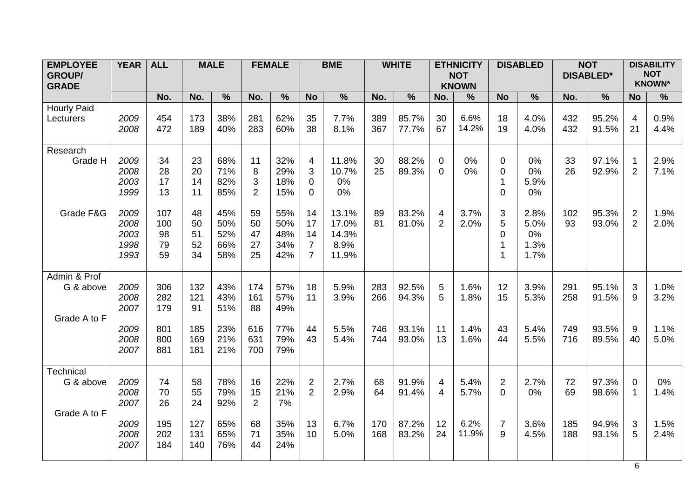| <b>EMPLOYEE</b><br><b>GROUP/</b><br><b>GRADE</b> | <b>YEAR</b>                          | <b>ALL</b>                   |                            | <b>MALE</b>                     |                                | <b>FEMALE</b>                   | <b>BME</b><br>$\frac{0}{6}$<br><b>No</b>              |                                          | <b>WHITE</b> |                | <b>ETHNICITY</b><br><b>NOT</b><br><b>KNOWN</b> |               | <b>DISABLED</b>                  |                                    | <b>NOT</b><br><b>DISABLED*</b> |                | <b>DISABILITY</b><br><b>NOT</b><br><b>KNOWN*</b> |               |
|--------------------------------------------------|--------------------------------------|------------------------------|----------------------------|---------------------------------|--------------------------------|---------------------------------|-------------------------------------------------------|------------------------------------------|--------------|----------------|------------------------------------------------|---------------|----------------------------------|------------------------------------|--------------------------------|----------------|--------------------------------------------------|---------------|
|                                                  |                                      | No.                          | No.                        | $\frac{9}{6}$                   | No.                            | $\frac{0}{6}$                   |                                                       |                                          | No.          | $\frac{9}{6}$  | No.                                            | $\frac{9}{6}$ | <b>No</b>                        | $\frac{9}{6}$                      | No.                            | $\frac{9}{6}$  | <b>No</b>                                        | $\frac{9}{6}$ |
| <b>Hourly Paid</b><br>Lecturers                  | 2009<br>2008                         | 454<br>472                   | 173<br>189                 | 38%<br>40%                      | 281<br>283                     | 62%<br>60%                      | 35<br>38                                              | 7.7%<br>8.1%                             | 389<br>367   | 85.7%<br>77.7% | 30<br>67                                       | 6.6%<br>14.2% | 18<br>19                         | 4.0%<br>4.0%                       | 432<br>432                     | 95.2%<br>91.5% | 4<br>21                                          | 0.9%<br>4.4%  |
| Research<br>Grade H                              | 2009<br>2008<br>2003<br>1999         | 34<br>28<br>17<br>13         | 23<br>20<br>14<br>11       | 68%<br>71%<br>82%<br>85%        | 11<br>8<br>3<br>$\overline{2}$ | 32%<br>29%<br>18%<br>15%        | $\overline{\mathcal{A}}$<br>3<br>$\Omega$<br>$\Omega$ | 11.8%<br>10.7%<br>0%<br>0%               | 30<br>25     | 88.2%<br>89.3% | $\mathbf 0$<br>$\Omega$                        | 0%<br>0%      | 0<br>0<br>1<br>$\mathbf 0$       | 0%<br>0%<br>5.9%<br>0%             | 33<br>26                       | 97.1%<br>92.9% | 1<br>$\overline{2}$                              | 2.9%<br>7.1%  |
| Grade F&G                                        | 2009<br>2008<br>2003<br>1998<br>1993 | 107<br>100<br>98<br>79<br>59 | 48<br>50<br>51<br>52<br>34 | 45%<br>50%<br>52%<br>66%<br>58% | 59<br>50<br>47<br>27<br>25     | 55%<br>50%<br>48%<br>34%<br>42% | 14<br>17<br>14<br>$\overline{7}$<br>$\overline{7}$    | 13.1%<br>17.0%<br>14.3%<br>8.9%<br>11.9% | 89<br>81     | 83.2%<br>81.0% | 4<br>2                                         | 3.7%<br>2.0%  | 3<br>5<br>0                      | 2.8%<br>5.0%<br>0%<br>1.3%<br>1.7% | 102<br>93                      | 95.3%<br>93.0% | $\overline{2}$<br>$\overline{2}$                 | 1.9%<br>2.0%  |
| Admin & Prof                                     |                                      |                              |                            |                                 |                                |                                 |                                                       |                                          |              |                |                                                |               |                                  |                                    |                                |                |                                                  |               |
| G & above                                        | 2009<br>2008<br>2007                 | 306<br>282<br>179            | 132<br>121<br>91           | 43%<br>43%<br>51%               | 174<br>161<br>88               | 57%<br>57%<br>49%               | 18<br>11                                              | 5.9%<br>3.9%                             | 283<br>266   | 92.5%<br>94.3% | 5<br>5                                         | 1.6%<br>1.8%  | 12<br>15                         | 3.9%<br>5.3%                       | 291<br>258                     | 95.1%<br>91.5% | 3<br>9                                           | 1.0%<br>3.2%  |
| Grade A to F                                     | 2009<br>2008<br>2007                 | 801<br>800<br>881            | 185<br>169<br>181          | 23%<br>21%<br>21%               | 616<br>631<br>700              | 77%<br>79%<br>79%               | 44<br>43                                              | 5.5%<br>5.4%                             | 746<br>744   | 93.1%<br>93.0% | 11<br>13                                       | 1.4%<br>1.6%  | 43<br>44                         | 5.4%<br>5.5%                       | 749<br>716                     | 93.5%<br>89.5% | 9<br>40                                          | 1.1%<br>5.0%  |
| <b>Technical</b>                                 |                                      |                              |                            |                                 |                                |                                 |                                                       |                                          |              |                |                                                |               |                                  |                                    |                                |                |                                                  |               |
| G & above                                        | 2009<br>2008<br>2007                 | 74<br>70<br>26               | 58<br>55<br>24             | 78%<br>79%<br>92%               | 16<br>15<br>$\overline{2}$     | 22%<br>21%<br>7%                | $\overline{2}$<br>$\overline{2}$                      | 2.7%<br>2.9%                             | 68<br>64     | 91.9%<br>91.4% | 4<br>4                                         | 5.4%<br>5.7%  | $\overline{2}$<br>$\overline{0}$ | 2.7%<br>0%                         | 72<br>69                       | 97.3%<br>98.6% | $\mathbf 0$<br>1                                 | 0%<br>1.4%    |
| Grade A to F                                     | 2009<br>2008<br>2007                 | 195<br>202<br>184            | 127<br>131<br>140          | 65%<br>65%<br>76%               | 68<br>71<br>44                 | 35%<br>35%<br>24%               | 13<br>10                                              | 6.7%<br>5.0%                             | 170<br>168   | 87.2%<br>83.2% | 12<br>24                                       | 6.2%<br>11.9% | $\overline{7}$<br>9              | 3.6%<br>4.5%                       | 185<br>188                     | 94.9%<br>93.1% | 3<br>5                                           | 1.5%<br>2.4%  |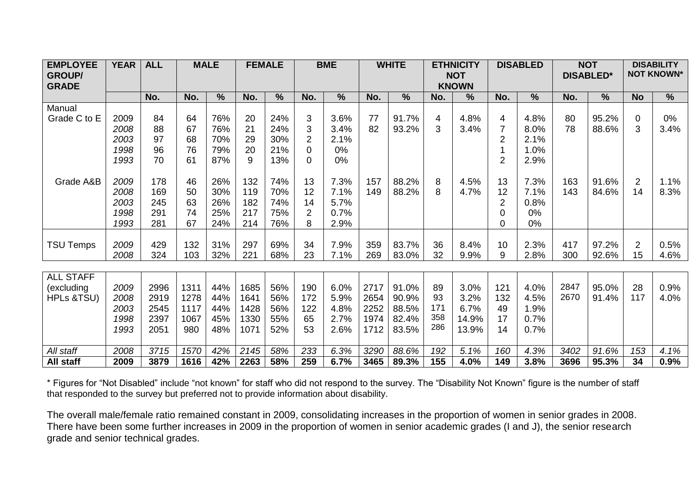| <b>EMPLOYEE</b><br><b>GROUP/</b><br><b>GRADE</b> | <b>YEAR</b> | <b>ALL</b> |      | <b>MALE</b>   | <b>FEMALE</b><br><b>BME</b> |                          | <b>WHITE</b>   |               |      | <b>ETHNICITY</b><br><b>NOT</b><br><b>KNOWN</b> |           | <b>DISABLED</b> |                | <b>NOT</b><br><b>DISABLED*</b> |              | <b>DISABILITY</b><br><b>NOT KNOWN*</b> |                |               |
|--------------------------------------------------|-------------|------------|------|---------------|-----------------------------|--------------------------|----------------|---------------|------|------------------------------------------------|-----------|-----------------|----------------|--------------------------------|--------------|----------------------------------------|----------------|---------------|
|                                                  |             | No.        | No.  | $\frac{9}{6}$ | No.                         | $\overline{\frac{9}{6}}$ | No.            | $\frac{0}{0}$ | No.  | $\%$                                           | No.       | $\frac{9}{6}$   | No.            | $\frac{9}{6}$                  | No.          | $\frac{9}{6}$                          | <b>No</b>      | $\frac{9}{6}$ |
| Manual                                           |             |            |      |               |                             |                          |                |               |      |                                                |           |                 |                |                                |              |                                        |                |               |
| Grade C to E                                     | 2009        | 84         | 64   | 76%           | 20                          | 24%                      | 3              | 3.6%          | 77   | 91.7%                                          | 4         | 4.8%            | 4              | 4.8%                           | 80           | 95.2%                                  | 0              | $0\%$         |
|                                                  | 2008        | 88         | 67   | 76%           | 21                          | 24%                      | 3              | 3.4%          | 82   | 93.2%                                          | 3         | 3.4%            |                | 8.0%                           | 78           | 88.6%                                  | 3              | 3.4%          |
|                                                  | 2003        | 97         | 68   | 70%           | 29                          | 30%                      | $\overline{2}$ | 2.1%          |      |                                                |           |                 | $\overline{2}$ | 2.1%                           |              |                                        |                |               |
|                                                  | 1998        | 96         | 76   | 79%           | 20                          | 21%                      | 0              | 0%            |      |                                                |           |                 |                | 1.0%                           |              |                                        |                |               |
|                                                  | 1993        | 70         | 61   | 87%           | 9                           | 13%                      | 0              | 0%            |      |                                                |           |                 | 2              | 2.9%                           |              |                                        |                |               |
|                                                  |             |            |      |               |                             |                          |                |               |      |                                                |           |                 |                |                                |              |                                        |                |               |
| Grade A&B                                        | 2009        | 178        | 46   | 26%           | 132                         | 74%                      | 13             | 7.3%          | 157  | 88.2%                                          | 8         | 4.5%            | 13             | 7.3%                           | 163          | 91.6%                                  | $\overline{2}$ | 1.1%          |
|                                                  | 2008        | 169        | 50   | 30%           | 119                         | 70%                      | 12             | 7.1%          | 149  | 88.2%                                          | 8         | 4.7%            | 12             | 7.1%                           | 143          | 84.6%                                  | 14             | 8.3%          |
|                                                  | 2003        | 245        | 63   | 26%           | 182                         | 74%                      | 14             | 5.7%          |      |                                                |           |                 | 2              | 0.8%                           |              |                                        |                |               |
|                                                  | 1998        | 291        | 74   | 25%           | 217                         | 75%                      | 2              | 0.7%          |      |                                                |           |                 | U              | $0\%$                          |              |                                        |                |               |
|                                                  | 1993        | 281        | 67   | 24%           | 214                         | 76%                      | 8              | 2.9%          |      |                                                |           |                 | 0              | 0%                             |              |                                        |                |               |
|                                                  |             |            |      |               |                             |                          |                |               |      |                                                |           |                 |                |                                |              |                                        |                |               |
| <b>TSU Temps</b>                                 | 2009        | 429        | 132  | 31%           | 297                         | 69%                      | 34             | 7.9%          | 359  | 83.7%                                          | 36        | 8.4%            | 10             | 2.3%                           | 417          | 97.2%                                  | $\overline{2}$ | 0.5%          |
|                                                  | 2008        | 324        | 103  | 32%           | 221                         | 68%                      | 23             | 7.1%          | 269  | 83.0%                                          | 32        | 9.9%            | 9              | 2.8%                           | 300          | 92.6%                                  | 15             | 4.6%          |
|                                                  |             |            |      |               |                             |                          |                |               |      |                                                |           |                 |                |                                |              |                                        |                |               |
| <b>ALL STAFF</b>                                 |             |            |      |               |                             |                          |                |               |      |                                                |           |                 |                |                                |              |                                        |                |               |
| (excluding                                       | 2009        | 2996       | 1311 | 44%           | 1685                        | 56%                      | 190            | 6.0%          | 2717 | 91.0%                                          | 89        | 3.0%            | 121            | 4.0%                           | 2847<br>2670 | 95.0%                                  | 28             | 0.9%          |
| <b>HPLs &amp;TSU)</b>                            | 2008        | 2919       | 1278 | 44%           | 1641                        | 56%                      | 172            | 5.9%          | 2654 | 90.9%                                          | 93<br>171 | 3.2%            | 132            | 4.5%                           |              | 91.4%                                  | 117            | 4.0%          |
|                                                  | 2003        | 2545       | 1117 | 44%           | 1428                        | 56%                      | 122            | 4.8%          | 2252 | 88.5%                                          | 358       | 6.7%            | 49             | 1.9%                           |              |                                        |                |               |
|                                                  | 1998        | 2397       | 1067 | 45%           | 1330                        | 55%                      | 65             | 2.7%          | 1974 | 82.4%                                          | 286       | 14.9%           | 17             | 0.7%                           |              |                                        |                |               |
|                                                  | 1993        | 2051       | 980  | 48%           | 1071                        | 52%                      | 53             | 2.6%          | 1712 | 83.5%                                          |           | 13.9%           | 14             | 0.7%                           |              |                                        |                |               |
| All staff                                        | 2008        | 3715       | 1570 | 42%           | 2145                        | 58%                      | 233            | 6.3%          | 3290 | 88.6%                                          | 192       | 5.1%            | 160            | 4.3%                           | 3402         | 91.6%                                  | 153            | 4.1%          |
| All staff                                        | 2009        | 3879       | 1616 | 42%           | 2263                        | 58%                      | 259            | 6.7%          | 3465 | 89.3%                                          | 155       | 4.0%            | 149            | 3.8%                           | 3696         | 95.3%                                  | 34             | 0.9%          |

\* Figures for "Not Disabled" include "not known" for staff who did not respond to the survey. The "Disability Not Known" figure is the number of staff that responded to the survey but preferred not to provide information about disability.

The overall male/female ratio remained constant in 2009, consolidating increases in the proportion of women in senior grades in 2008. There have been some further increases in 2009 in the proportion of women in senior academic grades (I and J), the senior research grade and senior technical grades.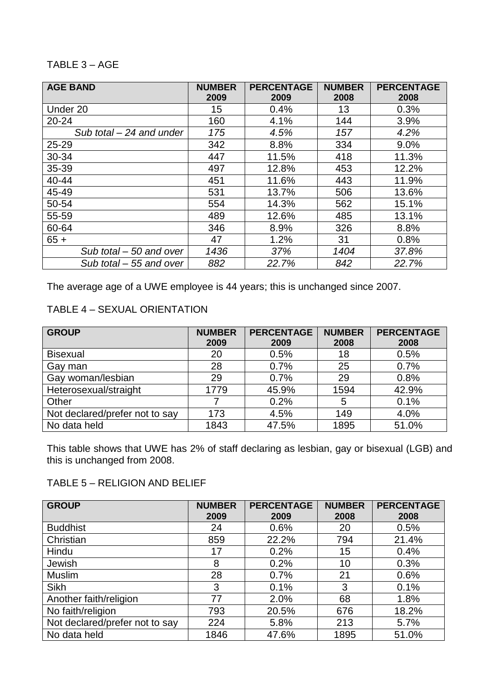#### TABLE 3 – AGE

| <b>AGE BAND</b>            | <b>NUMBER</b><br>2009 | <b>PERCENTAGE</b><br>2009 | <b>NUMBER</b><br>2008 | <b>PERCENTAGE</b><br>2008 |
|----------------------------|-----------------------|---------------------------|-----------------------|---------------------------|
| Under 20                   | 15                    | 0.4%                      | 13                    | 0.3%                      |
| $20 - 24$                  | 160                   | 4.1%                      | 144                   | 3.9%                      |
| Sub total $-$ 24 and under | 175                   | 4.5%                      | 157                   | 4.2%                      |
| 25-29                      | 342                   | 8.8%                      | 334                   | 9.0%                      |
| 30-34                      | 447                   | 11.5%                     | 418                   | 11.3%                     |
| 35-39                      | 497                   | 12.8%                     | 453                   | 12.2%                     |
| 40-44                      | 451                   | 11.6%                     | 443                   | 11.9%                     |
| 45-49                      | 531                   | 13.7%                     | 506                   | 13.6%                     |
| 50-54                      | 554                   | 14.3%                     | 562                   | 15.1%                     |
| 55-59                      | 489                   | 12.6%                     | 485                   | 13.1%                     |
| 60-64                      | 346                   | 8.9%                      | 326                   | 8.8%                      |
| $65 +$                     | 47                    | 1.2%                      | 31                    | 0.8%                      |
| Sub total - 50 and over    | 1436                  | 37%                       | 1404                  | 37.8%                     |
| Sub total - 55 and over    | 882                   | 22.7%                     | 842                   | 22.7%                     |

The average age of a UWE employee is 44 years; this is unchanged since 2007.

#### TABLE 4 – SEXUAL ORIENTATION

| <b>GROUP</b>                   | <b>NUMBER</b><br>2009 | <b>PERCENTAGE</b><br>2009 | <b>NUMBER</b><br>2008 | <b>PERCENTAGE</b><br>2008 |
|--------------------------------|-----------------------|---------------------------|-----------------------|---------------------------|
| <b>Bisexual</b>                | 20                    | 0.5%                      | 18                    | 0.5%                      |
| Gay man                        | 28                    | 0.7%                      | 25                    | 0.7%                      |
| Gay woman/lesbian              | 29                    | 0.7%                      | 29                    | 0.8%                      |
| Heterosexual/straight          | 1779                  | 45.9%                     | 1594                  | 42.9%                     |
| Other                          |                       | 0.2%                      | 5                     | 0.1%                      |
| Not declared/prefer not to say | 173                   | 4.5%                      | 149                   | 4.0%                      |
| No data held                   | 1843                  | 47.5%                     | 1895                  | 51.0%                     |

This table shows that UWE has 2% of staff declaring as lesbian, gay or bisexual (LGB) and this is unchanged from 2008.

#### TABLE 5 – RELIGION AND BELIEF

| <b>GROUP</b>                   | <b>NUMBER</b> | <b>PERCENTAGE</b> | <b>NUMBER</b> | <b>PERCENTAGE</b> |
|--------------------------------|---------------|-------------------|---------------|-------------------|
|                                | 2009          | 2009              | 2008          | 2008              |
| <b>Buddhist</b>                | 24            | 0.6%              | 20            | 0.5%              |
| Christian                      | 859           | 22.2%             | 794           | 21.4%             |
| Hindu                          | 17            | 0.2%              | 15            | 0.4%              |
| Jewish                         | 8             | 0.2%              | 10            | 0.3%              |
| Muslim                         | 28            | 0.7%              | 21            | 0.6%              |
| <b>Sikh</b>                    | 3             | 0.1%              | 3             | 0.1%              |
| Another faith/religion         | 77            | 2.0%              | 68            | 1.8%              |
| No faith/religion              | 793           | 20.5%             | 676           | 18.2%             |
| Not declared/prefer not to say | 224           | 5.8%              | 213           | 5.7%              |
| No data held                   | 1846          | 47.6%             | 1895          | 51.0%             |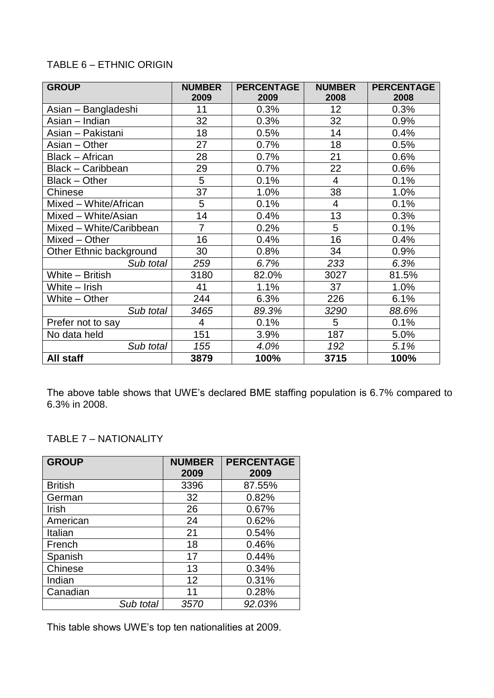#### TABLE 6 – ETHNIC ORIGIN

| <b>GROUP</b>            | <b>NUMBER</b>  | <b>PERCENTAGE</b> | <b>NUMBER</b>   | <b>PERCENTAGE</b> |
|-------------------------|----------------|-------------------|-----------------|-------------------|
|                         | 2009           | 2009              | 2008            | 2008              |
| Asian - Bangladeshi     | 11             | 0.3%              | 12 <sub>2</sub> | 0.3%              |
| Asian – Indian          | 32             | 0.3%              | 32              | 0.9%              |
| Asian - Pakistani       | 18             | 0.5%              | 14              | 0.4%              |
| Asian - Other           | 27             | 0.7%              | 18              | 0.5%              |
| <b>Black - African</b>  | 28             | 0.7%              | 21              | 0.6%              |
| Black - Caribbean       | 29             | 0.7%              | 22              | 0.6%              |
| Black - Other           | 5              | 0.1%              | $\overline{4}$  | 0.1%              |
| Chinese                 | 37             | 1.0%              | 38              | 1.0%              |
| Mixed - White/African   | 5              | 0.1%              | 4               | 0.1%              |
| Mixed - White/Asian     | 14             | 0.4%              | 13              | 0.3%              |
| Mixed - White/Caribbean | $\overline{7}$ | 0.2%              | 5               | 0.1%              |
| Mixed - Other           | 16             | 0.4%              | 16              | 0.4%              |
| Other Ethnic background | 30             | 0.8%              | 34              | 0.9%              |
| Sub total               | 259            | 6.7%              | 233             | 6.3%              |
| White - British         | 3180           | 82.0%             | 3027            | 81.5%             |
| White - Irish           | 41             | 1.1%              | 37              | 1.0%              |
| White - Other           | 244            | 6.3%              | 226             | 6.1%              |
| Sub total               | 3465           | 89.3%             | 3290            | 88.6%             |
| Prefer not to say       | $\overline{4}$ | 0.1%              | 5               | 0.1%              |
| No data held            | 151            | 3.9%              | 187             | 5.0%              |
| Sub total               | 155            | 4.0%              | 192             | 5.1%              |
| All staff               | 3879           | 100%              | 3715            | 100%              |

The above table shows that UWE's declared BME staffing population is 6.7% compared to 6.3% in 2008.

#### TABLE 7 – NATIONALITY

| <b>GROUP</b>   | <b>NUMBER</b><br>2009 | <b>PERCENTAGE</b><br>2009 |
|----------------|-----------------------|---------------------------|
| <b>British</b> | 3396                  | 87.55%                    |
| German         | 32                    | 0.82%                     |
| Irish          | 26                    | 0.67%                     |
| American       | 24                    | 0.62%                     |
| Italian        | 21                    | 0.54%                     |
| French         | 18                    | 0.46%                     |
| Spanish        | 17                    | 0.44%                     |
| Chinese        | 13                    | 0.34%                     |
| Indian         | 12                    | 0.31%                     |
| Canadian       | 11                    | 0.28%                     |
| Sub total      | 3570                  | 92.03%                    |

This table shows UWE's top ten nationalities at 2009.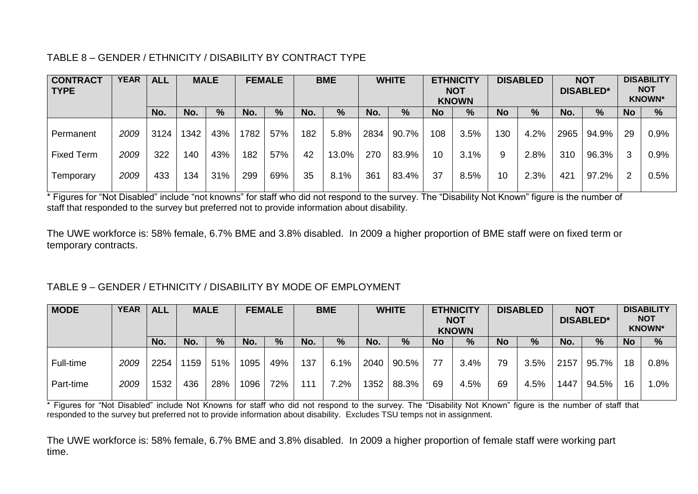#### TABLE 8 – GENDER / ETHNICITY / DISABILITY BY CONTRACT TYPE

| <b>CONTRACT</b><br><b>TYPE</b> | <b>YEAR</b> | <b>ALL</b> |     | <b>MALE</b><br><b>FEMALE</b> |     |     | <b>BME</b> |       | <b>WHITE</b> |       | <b>ETHNICITY</b><br><b>NOT</b><br><b>KNOWN</b> |      | <b>DISABLED</b> |      |      | <b>NOT</b><br><b>DISABLED*</b> | <b>DISABILITY</b><br><b>NOT</b><br><b>KNOWN*</b> |         |  |
|--------------------------------|-------------|------------|-----|------------------------------|-----|-----|------------|-------|--------------|-------|------------------------------------------------|------|-----------------|------|------|--------------------------------|--------------------------------------------------|---------|--|
|                                |             | No.        | No. | %                            | No. | %   | No.        | %     | No.          | $\%$  | <b>No</b>                                      | %    | <b>No</b>       | %    | No.  | %                              | No.                                              | %       |  |
| Permanent                      | 2009        | 3124       | 342 | 43%                          | 782 | 57% | 182        | 5.8%  | 2834         | 90.7% | 108                                            | 3.5% | 130             | 4.2% | 2965 | 94.9%                          | 29                                               | $0.9\%$ |  |
| <b>Fixed Term</b>              | 2009        | 322        | 140 | 43%                          | 182 | 57% | 42         | 13.0% | 270          | 83.9% | 10                                             | 3.1% | 9               | 2.8% | 310  | 96.3%                          |                                                  | 0.9%    |  |
| Temporary                      | 2009        | 433        | 134 | 31%                          | 299 | 69% | 35         | 8.1%  | 361          | 83.4% | 37                                             | 8.5% | 10              | 2.3% | 421  | 97.2%                          | ົ                                                | 0.5%    |  |

\* Figures for "Not Disabled" include "not knowns" for staff who did not respond to the survey. The "Disability Not Known" figure is the number of staff that responded to the survey but preferred not to provide information about disability.

The UWE workforce is: 58% female, 6.7% BME and 3.8% disabled. In 2009 a higher proportion of BME staff were on fixed term or temporary contracts.

#### TABLE 9 – GENDER / ETHNICITY / DISABILITY BY MODE OF EMPLOYMENT

| <b>MODE</b> | <b>YEAR</b> | <b>ALL</b> |     | <b>MALE</b>   |      | <b>FEMALE</b> |     | <b>BME</b> |      | <b>WHITE</b>  |           | <b>ETHNICITY</b><br><b>NOT</b><br><b>KNOWN</b> | <b>DISABLED</b> |      |      | <b>NOT</b><br><b>DISABLED*</b> | <b>DISABILITY</b><br><b>NOT</b><br><b>KNOWN*</b> |      |  |
|-------------|-------------|------------|-----|---------------|------|---------------|-----|------------|------|---------------|-----------|------------------------------------------------|-----------------|------|------|--------------------------------|--------------------------------------------------|------|--|
|             |             | No.        | No. | $\frac{9}{6}$ | No.  | %             | No. | $\%$       | No.  | $\frac{9}{6}$ | <b>No</b> | %                                              | <b>No</b>       | %    | No.  | $\%$                           | <b>No</b>                                        | %    |  |
| Full-time   | 2009        | 2254       | 159 | 51%           | 1095 | 49%           | 137 | 6.1%       | 2040 | 90.5%         | 77        | 3.4%                                           | 79              | 3.5% | 2157 | 95.7%                          | 18                                               | 0.8% |  |
| Part-time   | 2009        | 1532       | 436 | 28%           | 1096 | 72%           | 111 | 7.2%       | 1352 | 88.3%         | 69        | 4.5%                                           | 69              | 4.5% | 1447 | 94.5%                          | 16                                               | 1.0% |  |

\* Figures for "Not Disabled" include Not Knowns for staff who did not respond to the survey. The "Disability Not Known" figure is the number of staff that responded to the survey but preferred not to provide information about disability. Excludes TSU temps not in assignment.

The UWE workforce is: 58% female, 6.7% BME and 3.8% disabled. In 2009 a higher proportion of female staff were working part time.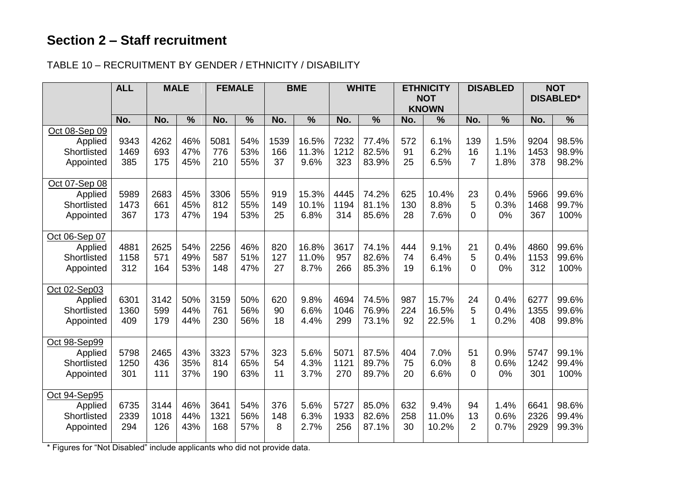### **Section 2 – Staff recruitment**

#### TABLE 10 – RECRUITMENT BY GENDER / ETHNICITY / DISABILITY

|                                                      | <b>ALL</b>          |                     | <b>MALE</b>       | <b>FEMALE</b>       |                   | <b>BME</b>        |                        |                     | <b>WHITE</b>            |                  | <b>ETHNICITY</b><br><b>DISABLED</b><br><b>NOT</b> |                            |                      | <b>NOT</b><br><b>DISABLED*</b> |                         |
|------------------------------------------------------|---------------------|---------------------|-------------------|---------------------|-------------------|-------------------|------------------------|---------------------|-------------------------|------------------|---------------------------------------------------|----------------------------|----------------------|--------------------------------|-------------------------|
|                                                      |                     |                     |                   |                     |                   |                   |                        |                     |                         |                  | <b>KNOWN</b>                                      |                            |                      |                                |                         |
|                                                      | No.                 | No.                 | $\frac{0}{0}$     | No.                 | $\frac{0}{0}$     | No.               | $\frac{0}{0}$          | No.                 | $\frac{0}{0}$           | No.              | $\frac{0}{0}$                                     | No.                        | $\frac{0}{0}$        | No.                            | $\frac{0}{0}$           |
| Oct 08-Sep 09<br>Applied<br>Shortlisted<br>Appointed | 9343<br>1469<br>385 | 4262<br>693<br>175  | 46%<br>47%<br>45% | 5081<br>776<br>210  | 54%<br>53%<br>55% | 1539<br>166<br>37 | 16.5%<br>11.3%<br>9.6% | 7232<br>1212<br>323 | 77.4%<br>82.5%<br>83.9% | 572<br>91<br>25  | 6.1%<br>6.2%<br>6.5%                              | 139<br>16<br>7             | 1.5%<br>1.1%<br>1.8% | 9204<br>1453<br>378            | 98.5%<br>98.9%<br>98.2% |
| Oct 07-Sep 08<br>Applied<br>Shortlisted<br>Appointed | 5989<br>1473<br>367 | 2683<br>661<br>173  | 45%<br>45%<br>47% | 3306<br>812<br>194  | 55%<br>55%<br>53% | 919<br>149<br>25  | 15.3%<br>10.1%<br>6.8% | 4445<br>1194<br>314 | 74.2%<br>81.1%<br>85.6% | 625<br>130<br>28 | 10.4%<br>8.8%<br>7.6%                             | 23<br>5<br>0               | 0.4%<br>0.3%<br>0%   | 5966<br>1468<br>367            | 99.6%<br>99.7%<br>100%  |
| Oct 06-Sep 07<br>Applied<br>Shortlisted<br>Appointed | 4881<br>1158<br>312 | 2625<br>571<br>164  | 54%<br>49%<br>53% | 2256<br>587<br>148  | 46%<br>51%<br>47% | 820<br>127<br>27  | 16.8%<br>11.0%<br>8.7% | 3617<br>957<br>266  | 74.1%<br>82.6%<br>85.3% | 444<br>74<br>19  | 9.1%<br>6.4%<br>6.1%                              | 21<br>5<br>0               | 0.4%<br>0.4%<br>0%   | 4860<br>1153<br>312            | 99.6%<br>99.6%<br>100%  |
| Oct 02-Sep03<br>Applied<br>Shortlisted<br>Appointed  | 6301<br>1360<br>409 | 3142<br>599<br>179  | 50%<br>44%<br>44% | 3159<br>761<br>230  | 50%<br>56%<br>56% | 620<br>90<br>18   | 9.8%<br>6.6%<br>4.4%   | 4694<br>1046<br>299 | 74.5%<br>76.9%<br>73.1% | 987<br>224<br>92 | 15.7%<br>16.5%<br>22.5%                           | 24<br>5<br>1               | 0.4%<br>0.4%<br>0.2% | 6277<br>1355<br>408            | 99.6%<br>99.6%<br>99.8% |
| Oct 98-Sep99<br>Applied<br>Shortlisted<br>Appointed  | 5798<br>1250<br>301 | 2465<br>436<br>111  | 43%<br>35%<br>37% | 3323<br>814<br>190  | 57%<br>65%<br>63% | 323<br>54<br>11   | 5.6%<br>4.3%<br>3.7%   | 5071<br>1121<br>270 | 87.5%<br>89.7%<br>89.7% | 404<br>75<br>20  | 7.0%<br>6.0%<br>6.6%                              | 51<br>8<br>$\Omega$        | 0.9%<br>0.6%<br>0%   | 5747<br>1242<br>301            | 99.1%<br>99.4%<br>100%  |
| Oct 94-Sep95<br>Applied<br>Shortlisted<br>Appointed  | 6735<br>2339<br>294 | 3144<br>1018<br>126 | 46%<br>44%<br>43% | 3641<br>1321<br>168 | 54%<br>56%<br>57% | 376<br>148<br>8   | 5.6%<br>6.3%<br>2.7%   | 5727<br>1933<br>256 | 85.0%<br>82.6%<br>87.1% | 632<br>258<br>30 | 9.4%<br>11.0%<br>10.2%                            | 94<br>13<br>$\overline{2}$ | 1.4%<br>0.6%<br>0.7% | 6641<br>2326<br>2929           | 98.6%<br>99.4%<br>99.3% |

\* Figures for "Not Disabled" include applicants who did not provide data.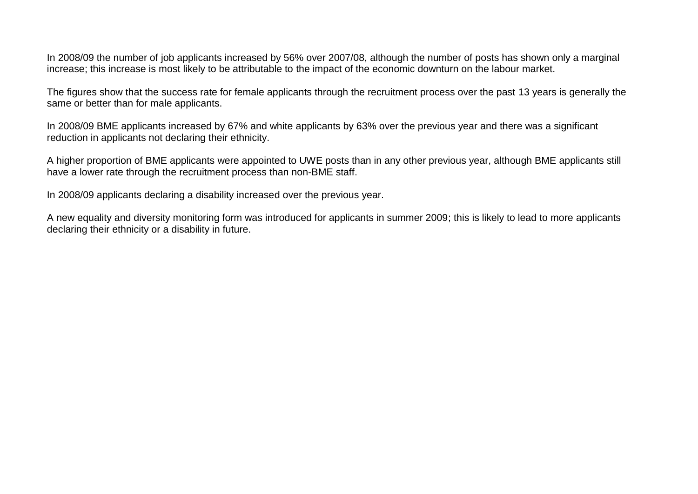In 2008/09 the number of job applicants increased by 56% over 2007/08, although the number of posts has shown only a marginal increase; this increase is most likely to be attributable to the impact of the economic downturn on the labour market.

The figures show that the success rate for female applicants through the recruitment process over the past 13 years is generally the same or better than for male applicants.

In 2008/09 BME applicants increased by 67% and white applicants by 63% over the previous year and there was a significant reduction in applicants not declaring their ethnicity.

A higher proportion of BME applicants were appointed to UWE posts than in any other previous year, although BME applicants still have a lower rate through the recruitment process than non-BME staff.

In 2008/09 applicants declaring a disability increased over the previous year.

A new equality and diversity monitoring form was introduced for applicants in summer 2009; this is likely to lead to more applicants declaring their ethnicity or a disability in future.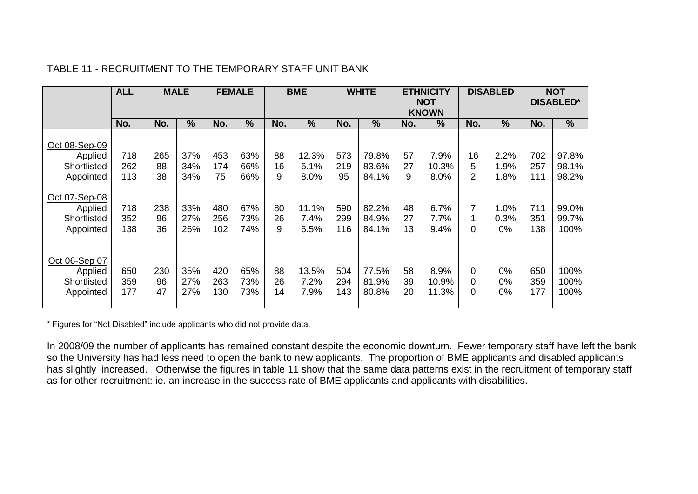|                                                      | <b>ALL</b>        |                 | <b>MALE</b>       |                   | <b>FEMALE</b>     |                | <b>BME</b>            |                   | <b>WHITE</b>            |                | <b>ETHNICITY</b><br><b>NOT</b><br><b>KNOWN</b> |                           | <b>DISABLED</b>       |                   | <b>NOT</b><br><b>DISABLED*</b> |
|------------------------------------------------------|-------------------|-----------------|-------------------|-------------------|-------------------|----------------|-----------------------|-------------------|-------------------------|----------------|------------------------------------------------|---------------------------|-----------------------|-------------------|--------------------------------|
|                                                      | No.               | No.             | %                 | No.               | %                 | No.            | $\frac{0}{0}$         | No.               | $\frac{0}{0}$           | No.            | $\frac{9}{6}$                                  | No.                       | $\frac{0}{0}$         | No.               | $\frac{0}{0}$                  |
| Oct 08-Sep-09<br>Applied<br>Shortlisted<br>Appointed | 718<br>262<br>113 | 265<br>88<br>38 | 37%<br>34%<br>34% | 453<br>174<br>75  | 63%<br>66%<br>66% | 88<br>16<br>9  | 12.3%<br>6.1%<br>8.0% | 573<br>219<br>95  | 79.8%<br>83.6%<br>84.1% | 57<br>27<br>9  | 7.9%<br>10.3%<br>8.0%                          | 16<br>5<br>$\overline{2}$ | 2.2%<br>1.9%<br>1.8%  | 702<br>257<br>111 | 97.8%<br>98.1%<br>98.2%        |
| Oct 07-Sep-08<br>Applied<br>Shortlisted<br>Appointed | 718<br>352<br>138 | 238<br>96<br>36 | 33%<br>27%<br>26% | 480<br>256<br>102 | 67%<br>73%<br>74% | 80<br>26<br>9  | 11.1%<br>7.4%<br>6.5% | 590<br>299<br>116 | 82.2%<br>84.9%<br>84.1% | 48<br>27<br>13 | 6.7%<br>7.7%<br>9.4%                           | 7<br>0                    | 1.0%<br>0.3%<br>$0\%$ | 711<br>351<br>138 | 99.0%<br>99.7%<br>100%         |
| Oct 06-Sep 07<br>Applied<br>Shortlisted<br>Appointed | 650<br>359<br>177 | 230<br>96<br>47 | 35%<br>27%<br>27% | 420<br>263<br>130 | 65%<br>73%<br>73% | 88<br>26<br>14 | 13.5%<br>7.2%<br>7.9% | 504<br>294<br>143 | 77.5%<br>81.9%<br>80.8% | 58<br>39<br>20 | 8.9%<br>10.9%<br>11.3%                         | 0<br>0<br>0               | $0\%$<br>0%<br>0%     | 650<br>359<br>177 | 100%<br>100%<br>100%           |

#### TABLE 11 - RECRUITMENT TO THE TEMPORARY STAFF UNIT BANK

\* Figures for "Not Disabled" include applicants who did not provide data.

In 2008/09 the number of applicants has remained constant despite the economic downturn. Fewer temporary staff have left the bank so the University has had less need to open the bank to new applicants. The proportion of BME applicants and disabled applicants has slightly increased. Otherwise the figures in table 11 show that the same data patterns exist in the recruitment of temporary staff as for other recruitment: ie. an increase in the success rate of BME applicants and applicants with disabilities.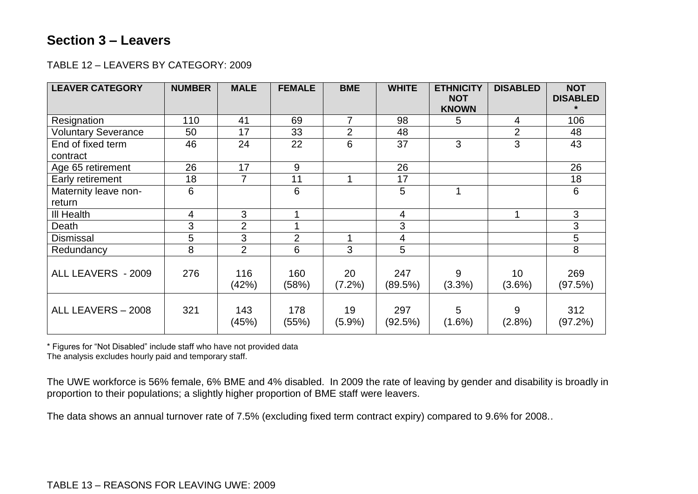#### **Section 3 – Leavers**

#### TABLE 12 – LEAVERS BY CATEGORY: 2009

| <b>LEAVER CATEGORY</b>     | <b>NUMBER</b> | <b>MALE</b>    | <b>FEMALE</b>  | <b>BME</b>      | <b>WHITE</b>   | <b>ETHNICITY</b><br><b>NOT</b> | <b>DISABLED</b>              | <b>NOT</b><br><b>DISABLED</b> |
|----------------------------|---------------|----------------|----------------|-----------------|----------------|--------------------------------|------------------------------|-------------------------------|
|                            |               |                |                |                 |                | <b>KNOWN</b>                   |                              |                               |
| Resignation                | 110           | 41             | 69             | 7               | 98             | 5                              | 4                            | 106                           |
| <b>Voluntary Severance</b> | 50            | 17             | 33             | $\overline{2}$  | 48             |                                | $\overline{2}$               | 48                            |
| End of fixed term          | 46            | 24             | 22             | 6               | 37             | 3                              | 3                            | 43                            |
| contract                   |               |                |                |                 |                |                                |                              |                               |
| Age 65 retirement          | 26            | 17             | $9$            |                 | 26             |                                |                              | 26                            |
| Early retirement           | 18            | $\overline{7}$ | 11             | 1               | 17             |                                |                              | 18                            |
| Maternity leave non-       | 6             |                | 6              |                 | 5              | 1                              |                              | 6                             |
| return                     |               |                |                |                 |                |                                |                              |                               |
| III Health                 | 4             | 3              |                |                 | 4              |                                |                              | 3                             |
| Death                      | 3             | $\overline{2}$ |                |                 | 3              |                                |                              | 3                             |
| <b>Dismissal</b>           | 5             | 3              | $\overline{2}$ | 1               | 4              |                                |                              | 5                             |
| Redundancy                 | 8             | $\overline{2}$ | 6              | 3               | 5              |                                |                              | 8                             |
| ALL LEAVERS - 2009         | 276           | 116<br>(42%)   | 160<br>(58%)   | 20<br>(7.2%)    | 247<br>(89.5%) | 9<br>$(3.3\%)$                 | 10 <sup>°</sup><br>$(3.6\%)$ | 269<br>(97.5%)                |
| ALL LEAVERS - 2008         | 321           | 143<br>(45%)   | 178<br>(55%)   | 19<br>$(5.9\%)$ | 297<br>(92.5%) | 5<br>$(1.6\%)$                 | 9<br>(2.8%)                  | 312<br>(97.2%)                |

\* Figures for "Not Disabled" include staff who have not provided data The analysis excludes hourly paid and temporary staff.

The UWE workforce is 56% female, 6% BME and 4% disabled. In 2009 the rate of leaving by gender and disability is broadly in proportion to their populations; a slightly higher proportion of BME staff were leavers.

The data shows an annual turnover rate of 7.5% (excluding fixed term contract expiry) compared to 9.6% for 2008..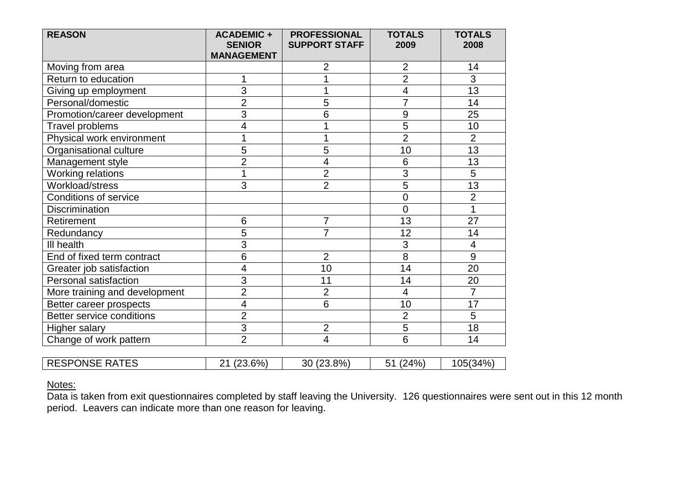| <b>REASON</b>                 | <b>ACADEMIC +</b><br><b>SENIOR</b><br><b>MANAGEMENT</b> | <b>PROFESSIONAL</b><br><b>SUPPORT STAFF</b> | <b>TOTALS</b><br>2009 | <b>TOTALS</b><br>2008 |
|-------------------------------|---------------------------------------------------------|---------------------------------------------|-----------------------|-----------------------|
| Moving from area              |                                                         | 2                                           | $\overline{2}$        | 14                    |
| Return to education           | 1                                                       |                                             | $\overline{2}$        | 3                     |
| Giving up employment          | $\overline{3}$                                          |                                             | 4                     | $\overline{13}$       |
| Personal/domestic             | $\overline{2}$                                          | 5                                           | $\overline{7}$        | 14                    |
| Promotion/career development  | $\overline{3}$                                          | 6                                           | 9                     | 25                    |
| Travel problems               | 4                                                       |                                             | 5                     | 10                    |
| Physical work environment     | 1                                                       |                                             | $\overline{2}$        | $\overline{2}$        |
| Organisational culture        | 5                                                       | 5                                           | 10                    | $\overline{13}$       |
| Management style              | $\overline{2}$                                          | $\overline{4}$                              | 6                     | 13                    |
| Working relations             | 1                                                       | $\overline{2}$                              | $\overline{3}$        | 5                     |
| Workload/stress               | 3                                                       | $\overline{2}$                              | 5                     | 13                    |
| <b>Conditions of service</b>  |                                                         |                                             | $\mathbf 0$           | $\overline{2}$        |
| <b>Discrimination</b>         |                                                         |                                             | $\overline{0}$        | $\overline{1}$        |
| Retirement                    | $6\phantom{1}6$                                         | 7                                           | 13                    | 27                    |
| Redundancy                    | 5                                                       | 7                                           | 12                    | 14                    |
| III health                    | 3                                                       |                                             | 3                     | $\overline{4}$        |
| End of fixed term contract    | 6                                                       | $\overline{2}$                              | 8                     | 9                     |
| Greater job satisfaction      | 4                                                       | 10                                          | 14                    | 20                    |
| Personal satisfaction         | 3                                                       | 11                                          | 14                    | 20                    |
| More training and development | $\overline{2}$                                          | $\overline{2}$                              | $\overline{4}$        | 7                     |
| Better career prospects       | 4                                                       | 6                                           | 10                    | 17                    |
| Better service conditions     | $\overline{2}$                                          |                                             | $\overline{2}$        | 5                     |
| <b>Higher salary</b>          | $\overline{3}$                                          | $\overline{2}$                              | $\overline{5}$        | 18                    |
| Change of work pattern        | $\overline{2}$                                          | 4                                           | 6                     | 14                    |
| <b>RESPONSE RATES</b>         |                                                         |                                             |                       |                       |
|                               | 21 (23.6%)                                              | 30 (23.8%)                                  | 51 (24%)              | 105(34%)              |

#### Notes:

Data is taken from exit questionnaires completed by staff leaving the University. 126 questionnaires were sent out in this 12 month period. Leavers can indicate more than one reason for leaving.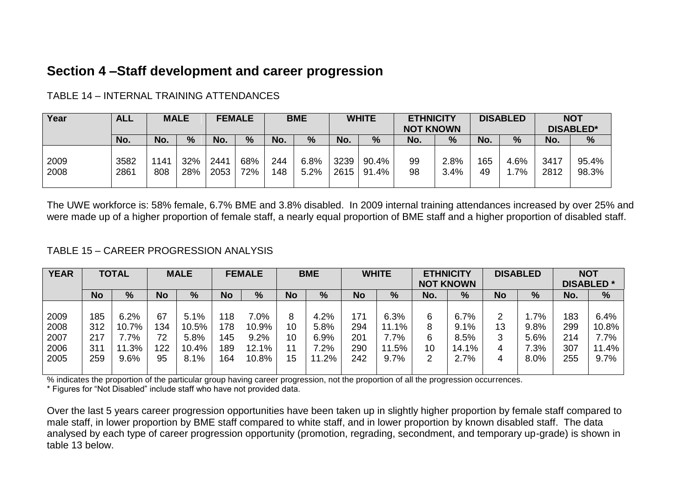#### **Section 4 –Staff development and career progression**

| Year         | <b>ALL</b>   |            | <b>MALE</b> | <b>FEMALE</b> |            |            | <b>BME</b>   |              | <b>WHITE</b>   | <b>ETHNICITY</b><br><b>NOT KNOWN</b> |              |           | <b>DISABLED</b> |              | <b>NOT</b><br><b>DISABLED*</b> |
|--------------|--------------|------------|-------------|---------------|------------|------------|--------------|--------------|----------------|--------------------------------------|--------------|-----------|-----------------|--------------|--------------------------------|
|              | No.          | No.        | %           | No.           | %          | No.        | %            | No.          | %              | No.                                  | %            | No.       | $\frac{0}{0}$   | No.          | %                              |
| 2009<br>2008 | 3582<br>2861 | 141<br>808 | 32%<br>28%  | 2441<br>2053  | 68%<br>72% | 244<br>148 | 6.8%<br>5.2% | 3239<br>2615 | 90.4%<br>91.4% | 99<br>98                             | 2.8%<br>3.4% | 165<br>49 | 4.6%<br>1.7%    | 3417<br>2812 | 95.4%<br>98.3%                 |

TABLE 14 – INTERNAL TRAINING ATTENDANCES

The UWE workforce is: 58% female, 6.7% BME and 3.8% disabled. In 2009 internal training attendances increased by over 25% and were made up of a higher proportion of female staff, a nearly equal proportion of BME staff and a higher proportion of disabled staff.

#### TABLE 15 – CAREER PROGRESSION ANALYSIS

| <b>YEAR</b> |           | <b>TOTAL</b> |           | <b>MALE</b> |           | <b>FEMALE</b> |           | <b>BME</b> |           | <b>WHITE</b> |     | <b>ETHNICITY</b><br><b>NOT KNOWN</b> |           | <b>DISABLED</b> |     | <b>NOT</b><br><b>DISABLED*</b> |
|-------------|-----------|--------------|-----------|-------------|-----------|---------------|-----------|------------|-----------|--------------|-----|--------------------------------------|-----------|-----------------|-----|--------------------------------|
|             | <b>No</b> | %            | <b>No</b> | %           | <b>No</b> | %             | <b>No</b> | %          | <b>No</b> | %            | No. | %                                    | <b>No</b> | %               | No. | %                              |
|             |           |              |           |             |           |               |           |            |           |              |     |                                      |           |                 |     |                                |
| 2009        | 185       | 6.2%         | 67        | 5.1%        | 18        | $7.0\%$       | 8         | 4.2%       | 171       | 6.3%         | 6   | 6.7%                                 | ⌒         | $.7\%$          | 183 | 6.4%                           |
| 2008        | 312       | 10.7%        | 134       | 10.5%       | 178       | 10.9%         | 10        | 5.8%       | 294       | 11.1%        | 8   | 9.1%                                 | 13        | 9.8%            | 299 | 10.8%                          |
| 2007        | 217       | 7%،/         | 72        | 5.8%        | 145       | 9.2%          | 10        | 6.9%       | 201       | 7.7%         | 6   | 8.5%                                 | ⌒         | 5.6%            | 214 | 7.7%                           |
| 2006        | 311       | 11.3%        | 122       | 10.4%       | 189       | 12.1%         | 11        | $.2\%$     | 290       | 11.5%        | 10  | 14.1%                                | 4         | $2.3\%$         | 307 | 11.4%                          |
| 2005        | 259       | 9.6%         | 95        | 8.1%        | 164       | 10.8%         | 15        | 11.2%      | 242       | 9.7%         | っ   | 2.7%                                 | 4         | 8.0%            | 255 | 9.7%                           |
|             |           |              |           |             |           |               |           |            |           |              |     |                                      |           |                 |     |                                |

% indicates the proportion of the particular group having career progression, not the proportion of all the progression occurrences. \* Figures for "Not Disabled" include staff who have not provided data.

Over the last 5 years career progression opportunities have been taken up in slightly higher proportion by female staff compared to male staff, in lower proportion by BME staff compared to white staff, and in lower proportion by known disabled staff. The data analysed by each type of career progression opportunity (promotion, regrading, secondment, and temporary up-grade) is shown in table 13 below.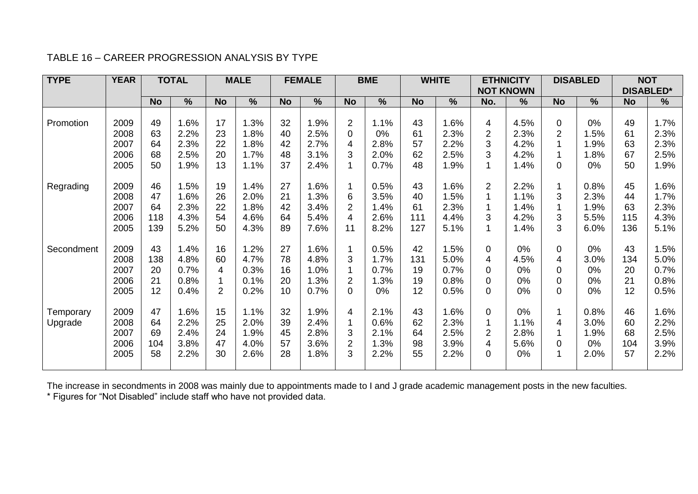#### TABLE 16 – CAREER PROGRESSION ANALYSIS BY TYPE

| <b>TYPE</b> | <b>YEAR</b> |           | <b>TOTAL</b>  |                | <b>MALE</b>   |           | <b>FEMALE</b> |                | <b>BME</b>    |           | <b>WHITE</b> |                | <b>ETHNICITY</b><br><b>NOT KNOWN</b> |                | <b>DISABLED</b> |           | <b>NOT</b><br><b>DISABLED*</b> |
|-------------|-------------|-----------|---------------|----------------|---------------|-----------|---------------|----------------|---------------|-----------|--------------|----------------|--------------------------------------|----------------|-----------------|-----------|--------------------------------|
|             |             | <b>No</b> | $\frac{0}{0}$ | <b>No</b>      | $\frac{9}{6}$ | <b>No</b> | $\frac{0}{0}$ | <b>No</b>      | $\frac{9}{6}$ | <b>No</b> | %            | No.            | %                                    | <b>No</b>      | $\frac{0}{0}$   | <b>No</b> | $\frac{9}{6}$                  |
|             |             |           |               |                |               |           |               |                |               |           |              |                |                                      |                |                 |           |                                |
| Promotion   | 2009        | 49        | 1.6%          | 17             | 1.3%          | 32        | 1.9%          | $\overline{2}$ | 1.1%          | 43        | 1.6%         | 4              | 4.5%                                 | 0              | $0\%$           | 49        | 1.7%                           |
|             | 2008        | 63        | 2.2%          | 23             | 1.8%          | 40        | 2.5%          | 0              | 0%            | 61        | 2.3%         | 2              | 2.3%                                 | 2              | 1.5%            | 61        | 2.3%                           |
|             | 2007        | 64        | 2.3%          | 22             | 1.8%          | 42        | 2.7%          | 4              | 2.8%          | 57        | 2.2%         | 3              | 4.2%                                 |                | 1.9%            | 63        | 2.3%                           |
|             | 2006        | 68        | 2.5%          | 20             | 1.7%          | 48        | 3.1%          | 3              | 2.0%          | 62        | 2.5%         | 3              | 4.2%                                 | 1              | 1.8%            | 67        | 2.5%                           |
|             | 2005        | 50        | 1.9%          | 13             | 1.1%          | 37        | 2.4%          | 1              | 0.7%          | 48        | 1.9%         | 1              | 1.4%                                 | 0              | 0%              | 50        | 1.9%                           |
| Regrading   | 2009        | 46        | 1.5%          | 19             | 1.4%          | 27        | 1.6%          | $\mathbf{1}$   | 0.5%          | 43        | 1.6%         | $\overline{2}$ | 2.2%                                 | 1              | 0.8%            | 45        | 1.6%                           |
|             | 2008        | 47        | 1.6%          | 26             | 2.0%          | 21        | 1.3%          | 6              | 3.5%          | 40        | 1.5%         |                | 1.1%                                 | 3              | 2.3%            | 44        | 1.7%                           |
|             | 2007        | 64        | 2.3%          | 22             | 1.8%          | 42        | 3.4%          | $\overline{2}$ | 1.4%          | 61        | 2.3%         | 1              | 1.4%                                 |                | 1.9%            | 63        | 2.3%                           |
|             | 2006        | 118       | 4.3%          | 54             | 4.6%          | 64        | 5.4%          | 4              | 2.6%          | 111       | 4.4%         | 3              | 4.2%                                 | 3              | 5.5%            | 115       | 4.3%                           |
|             | 2005        | 139       | 5.2%          | 50             | 4.3%          | 89        | 7.6%          | 11             | 8.2%          | 127       | 5.1%         | 1              | 1.4%                                 | 3              | 6.0%            | 136       | 5.1%                           |
| Secondment  | 2009        | 43        | 1.4%          | 16             | 1.2%          | 27        | 1.6%          | $\mathbf 1$    | 0.5%          | 42        | 1.5%         | $\mathbf 0$    | 0%                                   | $\overline{0}$ | 0%              | 43        | 1.5%                           |
|             | 2008        | 138       | 4.8%          | 60             | 4.7%          | 78        | 4.8%          | 3              | 1.7%          | 131       | 5.0%         | 4              | 4.5%                                 | 4              | 3.0%            | 134       | 5.0%                           |
|             | 2007        | 20        | 0.7%          | 4              | 0.3%          | 16        | 1.0%          | 1              | 0.7%          | 19        | 0.7%         | $\mathbf 0$    | 0%                                   | 0              | 0%              | 20        | 0.7%                           |
|             | 2006        | 21        | 0.8%          |                | 0.1%          | 20        | 1.3%          | $\overline{2}$ | 1.3%          | 19        | 0.8%         | $\mathbf 0$    | 0%                                   | 0              | 0%              | 21        | 0.8%                           |
|             | 2005        | 12        | 0.4%          | $\overline{2}$ | 0.2%          | 10        | 0.7%          | 0              | 0%            | 12        | 0.5%         | $\mathbf 0$    | 0%                                   | 0              | $0\%$           | 12        | 0.5%                           |
| Temporary   | 2009        | 47        | 1.6%          | 15             | 1.1%          | 32        | 1.9%          | 4              | 2.1%          | 43        | 1.6%         | $\mathbf 0$    | 0%                                   | 1              | 0.8%            | 46        | 1.6%                           |
| Upgrade     | 2008        | 64        | 2.2%          | 25             | 2.0%          | 39        | 2.4%          | $\mathbf{1}$   | 0.6%          | 62        | 2.3%         | 1              | 1.1%                                 | $\overline{4}$ | 3.0%            | 60        | 2.2%                           |
|             | 2007        | 69        | 2.4%          | 24             | 1.9%          | 45        | 2.8%          | 3              | 2.1%          | 64        | 2.5%         | $\overline{2}$ | 2.8%                                 |                | 1.9%            | 68        | 2.5%                           |
|             | 2006        | 104       | 3.8%          | 47             | 4.0%          | 57        | 3.6%          | $\overline{2}$ | 1.3%          | 98        | 3.9%         | 4              | 5.6%                                 | 0              | 0%              | 104       | 3.9%                           |
|             | 2005        | 58        | 2.2%          | 30             | 2.6%          | 28        | 1.8%          | 3              | 2.2%          | 55        | 2.2%         | $\mathbf 0$    | 0%                                   | 1              | 2.0%            | 57        | 2.2%                           |
|             |             |           |               |                |               |           |               |                |               |           |              |                |                                      |                |                 |           |                                |

The increase in secondments in 2008 was mainly due to appointments made to I and J grade academic management posts in the new faculties. \* Figures for "Not Disabled" include staff who have not provided data.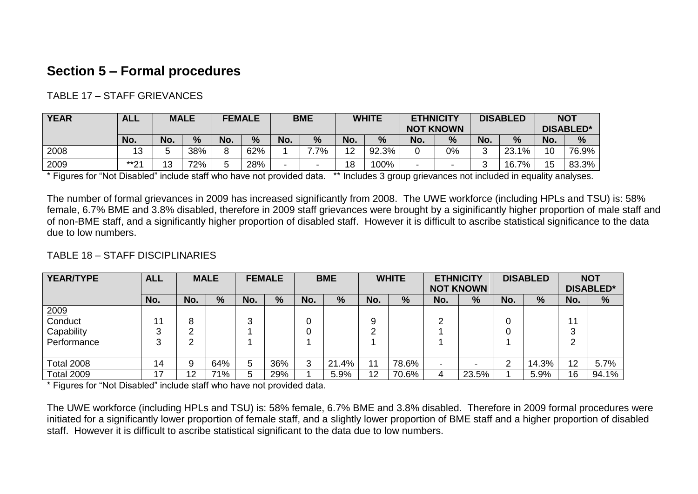#### **Section 5 – Formal procedures**

#### TABLE 17 – STAFF GRIEVANCES

| <b>YEAR</b> | <b>ALL</b>          |     | <b>MALE</b> |     | <b>FEMALE</b> |     | <b>BME</b> |     | <b>WHITE</b> | <b>ETHNICITY</b>         | <b>NOT KNOWN</b> |     | <b>DISABLED</b> |     | <b>NOT</b><br><b>DISABLED*</b> |
|-------------|---------------------|-----|-------------|-----|---------------|-----|------------|-----|--------------|--------------------------|------------------|-----|-----------------|-----|--------------------------------|
|             | No.                 | No. | $\%$        | No. | %             | No. | %          | No. | %            | No.                      | %                | No. | %               | No. | $\frac{9}{6}$                  |
| 2008        | 13                  |     | 38%         | O   | 62%           |     | 7%         | 12  | 92.3%        |                          | 0%               | -   | 23.1%           | 10  | 76.9%                          |
| 2009        | $***04$<br><u>_</u> | 13  | 72%         |     | 28%           |     |            | 18  | 100%         | $\overline{\phantom{0}}$ |                  |     | 7%<br>16.7      | 15  | 83.3%                          |

\* Figures for "Not Disabled" include staff who have not provided data. \*\* Includes 3 group grievances not included in equality analyses.

The number of formal grievances in 2009 has increased significantly from 2008. The UWE workforce (including HPLs and TSU) is: 58% female, 6.7% BME and 3.8% disabled, therefore in 2009 staff grievances were brought by a siginificantly higher proportion of male staff and of non-BME staff, and a significantly higher proportion of disabled staff. However it is difficult to ascribe statistical significance to the data due to low numbers.

#### TABLE 18 – STAFF DISCIPLINARIES

| <b>YEAR/TYPE</b>       | <b>ALL</b> |     | <b>MALE</b> |     | <b>FEMALE</b> |     | <b>BME</b> |     | <b>WHITE</b> | <b>ETHNICITY</b> | <b>NOT KNOWN</b> |     | <b>DISABLED</b> |        | <b>NOT</b><br><b>DISABLED*</b> |
|------------------------|------------|-----|-------------|-----|---------------|-----|------------|-----|--------------|------------------|------------------|-----|-----------------|--------|--------------------------------|
|                        | No.        | No. | $\%$        | No. | $\frac{9}{6}$ | No. | $\%$       | No. | $\%$         | No.              | %                | No. | %               | No.    | $\frac{0}{0}$                  |
| $\frac{2009}{$ Conduct |            |     |             |     |               |     |            |     |              |                  |                  |     |                 |        |                                |
|                        | 11         |     |             | 3   |               | 0   |            | 9   |              |                  |                  | 0   |                 | 11     |                                |
| Capability             |            | n   |             |     |               | 0   |            | ◠   |              |                  |                  | 0   |                 | ◠<br>ت |                                |
| Performance            |            |     |             |     |               |     |            |     |              |                  |                  |     |                 | ◠<br>▵ |                                |
|                        |            |     |             |     |               |     |            |     |              |                  |                  |     |                 |        |                                |
| <b>Total 2008</b>      | 14         | a   | 64%         | 5   | 36%           | 3   | 21.4%      | 11  | 78.6%        |                  |                  | ົ   | 14.3%           | 12     | 5.7%                           |
| <b>Total 2009</b>      | 17         | 12  | 71%         | 5   | 29%           |     | 5.9%       | 12  | 70.6%        |                  | 23.5%            |     | 5.9%            | 16     | 94.1%                          |

\* Figures for "Not Disabled" include staff who have not provided data.

The UWE workforce (including HPLs and TSU) is: 58% female, 6.7% BME and 3.8% disabled. Therefore in 2009 formal procedures were initiated for a significantly lower proportion of female staff, and a slightly lower proportion of BME staff and a higher proportion of disabled staff. However it is difficult to ascribe statistical significant to the data due to low numbers.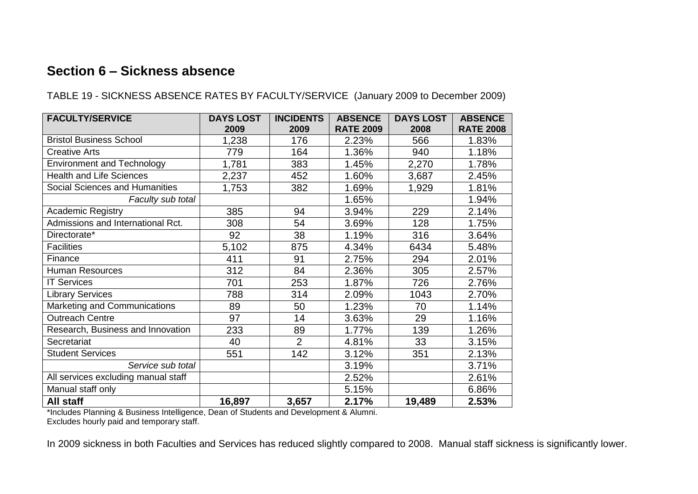#### **Section 6 – Sickness absence**

TABLE 19 - SICKNESS ABSENCE RATES BY FACULTY/SERVICE (January 2009 to December 2009)

| <b>FACULTY/SERVICE</b>              | <b>DAYS LOST</b><br>2009 | <b>INCIDENTS</b><br>2009 | <b>ABSENCE</b><br><b>RATE 2009</b> | <b>DAYS LOST</b><br>2008 | <b>ABSENCE</b><br><b>RATE 2008</b> |
|-------------------------------------|--------------------------|--------------------------|------------------------------------|--------------------------|------------------------------------|
| <b>Bristol Business School</b>      | 1,238                    | 176                      | 2.23%                              | 566                      | 1.83%                              |
| <b>Creative Arts</b>                | 779                      | 164                      | 1.36%                              | 940                      | 1.18%                              |
| <b>Environment and Technology</b>   | 1,781                    | 383                      | 1.45%                              | 2,270                    | 1.78%                              |
| <b>Health and Life Sciences</b>     | 2,237                    | 452                      | 1.60%                              | 3,687                    | 2.45%                              |
| Social Sciences and Humanities      | 1,753                    | 382                      | 1.69%                              | 1,929                    | 1.81%                              |
| Faculty sub total                   |                          |                          | 1.65%                              |                          | 1.94%                              |
| <b>Academic Registry</b>            | 385                      | 94                       | 3.94%                              | 229                      | 2.14%                              |
| Admissions and International Rct.   | 308                      | 54                       | 3.69%                              | 128                      | 1.75%                              |
| Directorate*                        | 92                       | 38                       | 1.19%                              | 316                      | 3.64%                              |
| <b>Facilities</b>                   | 5,102                    | 875                      | 4.34%                              | 6434                     | 5.48%                              |
| Finance                             | 411                      | 91                       | 2.75%                              | 294                      | 2.01%                              |
| <b>Human Resources</b>              | 312                      | 84                       | 2.36%                              | 305                      | 2.57%                              |
| <b>IT Services</b>                  | 701                      | 253                      | 1.87%                              | 726                      | 2.76%                              |
| <b>Library Services</b>             | 788                      | 314                      | 2.09%                              | 1043                     | 2.70%                              |
| Marketing and Communications        | 89                       | 50                       | 1.23%                              | 70                       | 1.14%                              |
| <b>Outreach Centre</b>              | 97                       | 14                       | 3.63%                              | 29                       | 1.16%                              |
| Research, Business and Innovation   | 233                      | 89                       | 1.77%                              | 139                      | 1.26%                              |
| Secretariat                         | 40                       | $\overline{2}$           | 4.81%                              | 33                       | 3.15%                              |
| <b>Student Services</b>             | 551                      | 142                      | 3.12%                              | 351                      | 2.13%                              |
| Service sub total                   |                          |                          | 3.19%                              |                          | 3.71%                              |
| All services excluding manual staff |                          |                          | 2.52%                              |                          | 2.61%                              |
| Manual staff only                   |                          |                          | 5.15%                              |                          | 6.86%                              |
| All staff                           | 16,897                   | 3,657                    | 2.17%                              | 19,489                   | 2.53%                              |

\*Includes Planning & Business Intelligence, Dean of Students and Development & Alumni.

Excludes hourly paid and temporary staff.

In 2009 sickness in both Faculties and Services has reduced slightly compared to 2008. Manual staff sickness is significantly lower.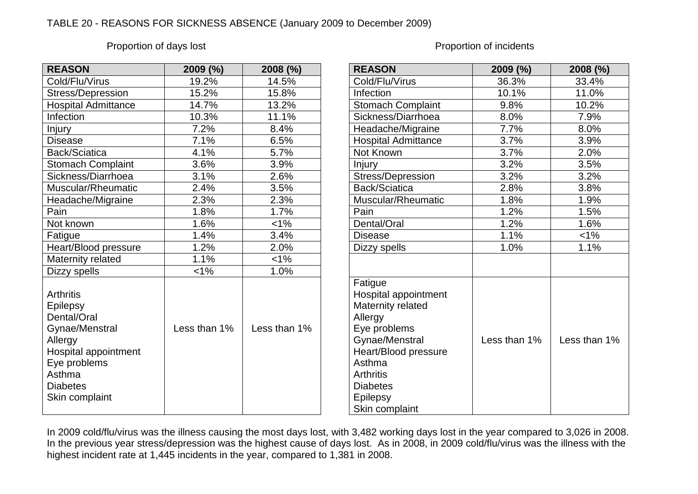#### TABLE 20 - REASONS FOR SICKNESS ABSENCE (January 2009 to December 2009)

#### Proportion of days lost **Proportion of days** lost

| <b>REASON</b>                                                                                                                                                   | 2009 (%)     | 2008 (%)     | <b>REASON</b>                                                                                                                                                                                            | 2009 (%)     | 2008 (%)    |
|-----------------------------------------------------------------------------------------------------------------------------------------------------------------|--------------|--------------|----------------------------------------------------------------------------------------------------------------------------------------------------------------------------------------------------------|--------------|-------------|
| Cold/Flu/Virus                                                                                                                                                  | 19.2%        | 14.5%        | Cold/Flu/Virus                                                                                                                                                                                           | 36.3%        | 33.4%       |
| Stress/Depression                                                                                                                                               | 15.2%        | 15.8%        | Infection                                                                                                                                                                                                | 10.1%        | 11.0%       |
| <b>Hospital Admittance</b>                                                                                                                                      | 14.7%        | 13.2%        | <b>Stomach Complaint</b>                                                                                                                                                                                 | 9.8%         | 10.2%       |
| Infection                                                                                                                                                       | 10.3%        | 11.1%        | Sickness/Diarrhoea                                                                                                                                                                                       | 8.0%         | 7.9%        |
| <b>Injury</b>                                                                                                                                                   | 7.2%         | 8.4%         | Headache/Migraine                                                                                                                                                                                        | 7.7%         | 8.0%        |
| <b>Disease</b>                                                                                                                                                  | 7.1%         | 6.5%         | <b>Hospital Admittance</b>                                                                                                                                                                               | 3.7%         | 3.9%        |
| Back/Sciatica                                                                                                                                                   | 4.1%         | 5.7%         | Not Known                                                                                                                                                                                                | 3.7%         | 2.0%        |
| <b>Stomach Complaint</b>                                                                                                                                        | 3.6%         | 3.9%         | Injury                                                                                                                                                                                                   | 3.2%         | 3.5%        |
| Sickness/Diarrhoea                                                                                                                                              | 3.1%         | 2.6%         | Stress/Depression                                                                                                                                                                                        | 3.2%         | 3.2%        |
| Muscular/Rheumatic                                                                                                                                              | 2.4%         | 3.5%         | Back/Sciatica                                                                                                                                                                                            | 2.8%         | 3.8%        |
| Headache/Migraine                                                                                                                                               | 2.3%         | 2.3%         | Muscular/Rheumatic                                                                                                                                                                                       | 1.8%         | 1.9%        |
| Pain                                                                                                                                                            | 1.8%         | 1.7%         | Pain                                                                                                                                                                                                     | 1.2%         | 1.5%        |
| Not known                                                                                                                                                       | 1.6%         | $1\%$        | Dental/Oral                                                                                                                                                                                              | 1.2%         | 1.6%        |
| Fatigue                                                                                                                                                         | 1.4%         | 3.4%         | <b>Disease</b>                                                                                                                                                                                           | 1.1%         | $< 1\%$     |
| Heart/Blood pressure                                                                                                                                            | 1.2%         | 2.0%         | Dizzy spells                                                                                                                                                                                             | 1.0%         | 1.1%        |
| Maternity related                                                                                                                                               | 1.1%         | $< 1\%$      |                                                                                                                                                                                                          |              |             |
| Dizzy spells                                                                                                                                                    | $< 1\%$      | 1.0%         |                                                                                                                                                                                                          |              |             |
| <b>Arthritis</b><br>Epilepsy<br>Dental/Oral<br>Gynae/Menstral<br>Allergy<br>Hospital appointment<br>Eye problems<br>Asthma<br><b>Diabetes</b><br>Skin complaint | Less than 1% | Less than 1% | Fatigue<br>Hospital appointment<br>Maternity related<br>Allergy<br>Eye problems<br>Gynae/Menstral<br>Heart/Blood pressure<br>Asthma<br><b>Arthritis</b><br><b>Diabetes</b><br>Epilepsy<br>Skin complaint | Less than 1% | Less than 1 |

| <b>REASON</b>                                                                                                                                                                                            | 2009 (%)     | 2008 (%)     |
|----------------------------------------------------------------------------------------------------------------------------------------------------------------------------------------------------------|--------------|--------------|
| Cold/Flu/Virus                                                                                                                                                                                           | 36.3%        | 33.4%        |
| Infection                                                                                                                                                                                                | 10.1%        | 11.0%        |
| <b>Stomach Complaint</b>                                                                                                                                                                                 | 9.8%         | 10.2%        |
| Sickness/Diarrhoea                                                                                                                                                                                       | 8.0%         | 7.9%         |
| Headache/Migraine                                                                                                                                                                                        | 7.7%         | 8.0%         |
| <b>Hospital Admittance</b>                                                                                                                                                                               | 3.7%         | 3.9%         |
| Not Known                                                                                                                                                                                                | 3.7%         | 2.0%         |
| <b>Injury</b>                                                                                                                                                                                            | 3.2%         | 3.5%         |
| Stress/Depression                                                                                                                                                                                        | 3.2%         | 3.2%         |
| Back/Sciatica                                                                                                                                                                                            | 2.8%         | 3.8%         |
| Muscular/Rheumatic                                                                                                                                                                                       | 1.8%         | 1.9%         |
| Pain                                                                                                                                                                                                     | 1.2%         | 1.5%         |
| Dental/Oral                                                                                                                                                                                              | 1.2%         | 1.6%         |
| <b>Disease</b>                                                                                                                                                                                           | 1.1%         | $< 1\%$      |
| Dizzy spells                                                                                                                                                                                             | 1.0%         | 1.1%         |
|                                                                                                                                                                                                          |              |              |
| Fatigue<br>Hospital appointment<br>Maternity related<br>Allergy<br>Eye problems<br>Gynae/Menstral<br>Heart/Blood pressure<br>Asthma<br><b>Arthritis</b><br><b>Diabetes</b><br>Epilepsy<br>Skin complaint | Less than 1% | Less than 1% |

In 2009 cold/flu/virus was the illness causing the most days lost, with 3,482 working days lost in the year compared to 3,026 in 2008. In the previous year stress/depression was the highest cause of days lost. As in 2008, in 2009 cold/flu/virus was the illness with the highest incident rate at 1,445 incidents in the year, compared to 1,381 in 2008.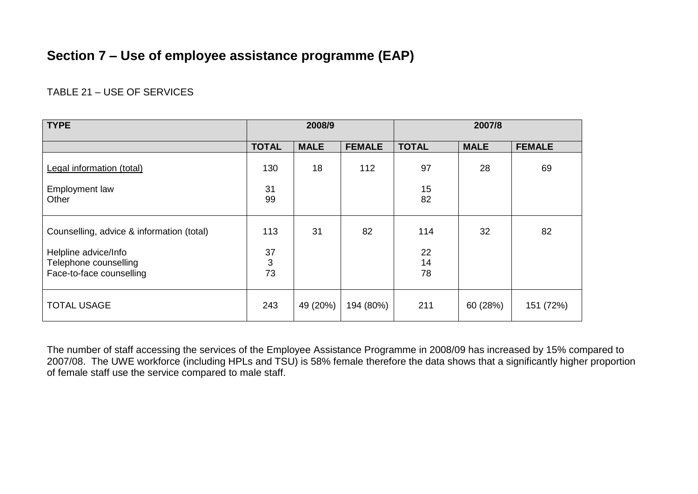#### **Section 7 – Use of employee assistance programme (EAP)**

#### TABLE 21 – USE OF SERVICES

| <b>TYPE</b>                                                               |               | 2008/9      |               |                | 2007/8      |               |
|---------------------------------------------------------------------------|---------------|-------------|---------------|----------------|-------------|---------------|
|                                                                           | <b>TOTAL</b>  | <b>MALE</b> | <b>FEMALE</b> | <b>TOTAL</b>   | <b>MALE</b> | <b>FEMALE</b> |
| Legal information (total)                                                 | 130           | 18          | 112           | 97             | 28          | 69            |
| <b>Employment law</b><br>Other                                            | 31<br>99      |             |               | 15<br>82       |             |               |
| Counselling, advice & information (total)                                 | 113           | 31          | 82            | 114            | 32          | 82            |
| Helpline advice/Info<br>Telephone counselling<br>Face-to-face counselling | 37<br>3<br>73 |             |               | 22<br>14<br>78 |             |               |
| <b>TOTAL USAGE</b>                                                        | 243           | 49 (20%)    | 194 (80%)     | 211            | 60 (28%)    | 151 (72%)     |

The number of staff accessing the services of the Employee Assistance Programme in 2008/09 has increased by 15% compared to 2007/08. The UWE workforce (including HPLs and TSU) is 58% female therefore the data shows that a significantly higher proportion of female staff use the service compared to male staff.